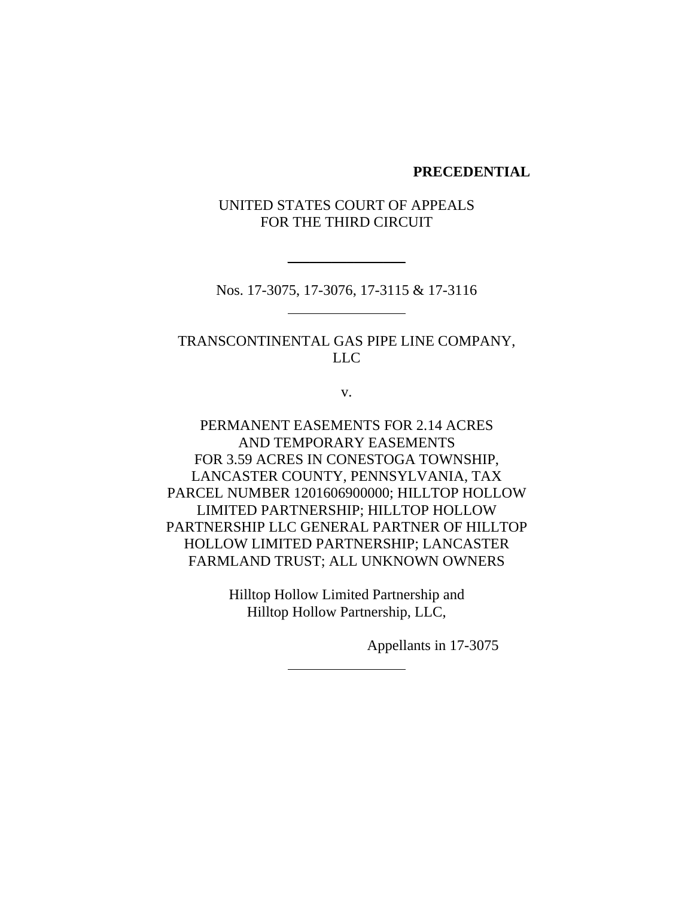#### **PRECEDENTIAL**

## UNITED STATES COURT OF APPEALS FOR THE THIRD CIRCUIT

Nos. 17-3075, 17-3076, 17-3115 & 17-3116

\_\_\_\_\_\_\_\_\_\_\_\_\_\_\_\_

TRANSCONTINENTAL GAS PIPE LINE COMPANY, LLC

v.

PERMANENT EASEMENTS FOR 2.14 ACRES AND TEMPORARY EASEMENTS FOR 3.59 ACRES IN CONESTOGA TOWNSHIP, LANCASTER COUNTY, PENNSYLVANIA, TAX PARCEL NUMBER 1201606900000; HILLTOP HOLLOW LIMITED PARTNERSHIP; HILLTOP HOLLOW PARTNERSHIP LLC GENERAL PARTNER OF HILLTOP HOLLOW LIMITED PARTNERSHIP; LANCASTER FARMLAND TRUST; ALL UNKNOWN OWNERS

> Hilltop Hollow Limited Partnership and Hilltop Hollow Partnership, LLC,

> > Appellants in 17-3075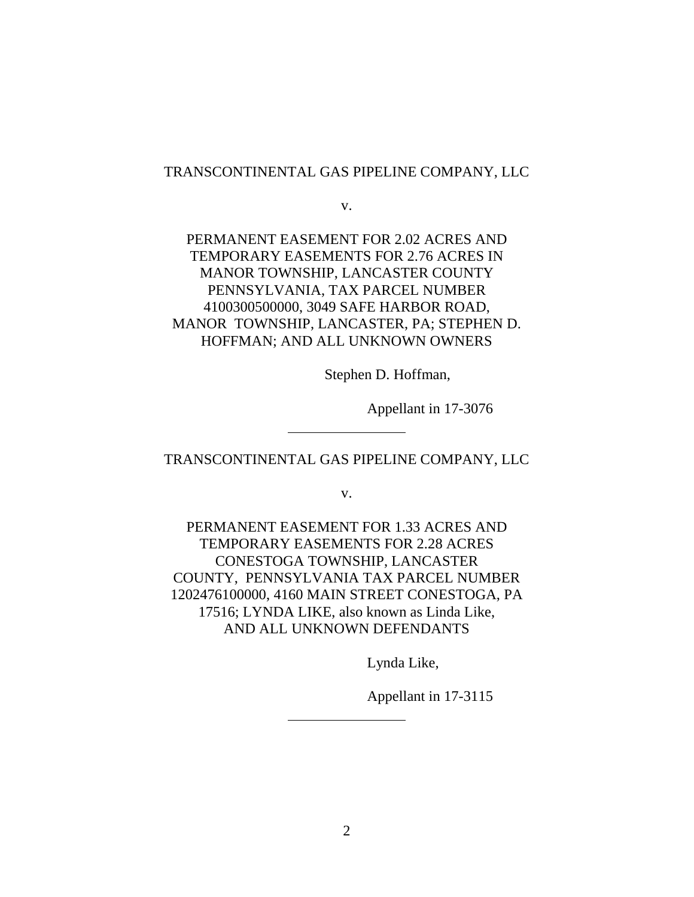### TRANSCONTINENTAL GAS PIPELINE COMPANY, LLC

v.

# PERMANENT EASEMENT FOR 2.02 ACRES AND TEMPORARY EASEMENTS FOR 2.76 ACRES IN MANOR TOWNSHIP, LANCASTER COUNTY PENNSYLVANIA, TAX PARCEL NUMBER 4100300500000, 3049 SAFE HARBOR ROAD, MANOR TOWNSHIP, LANCASTER, PA; STEPHEN D. HOFFMAN; AND ALL UNKNOWN OWNERS

Stephen D. Hoffman,

Appellant in 17-3076

### TRANSCONTINENTAL GAS PIPELINE COMPANY, LLC

v.

PERMANENT EASEMENT FOR 1.33 ACRES AND TEMPORARY EASEMENTS FOR 2.28 ACRES CONESTOGA TOWNSHIP, LANCASTER COUNTY, PENNSYLVANIA TAX PARCEL NUMBER 1202476100000, 4160 MAIN STREET CONESTOGA, PA 17516; LYNDA LIKE, also known as Linda Like, AND ALL UNKNOWN DEFENDANTS

Lynda Like,

Appellant in 17-3115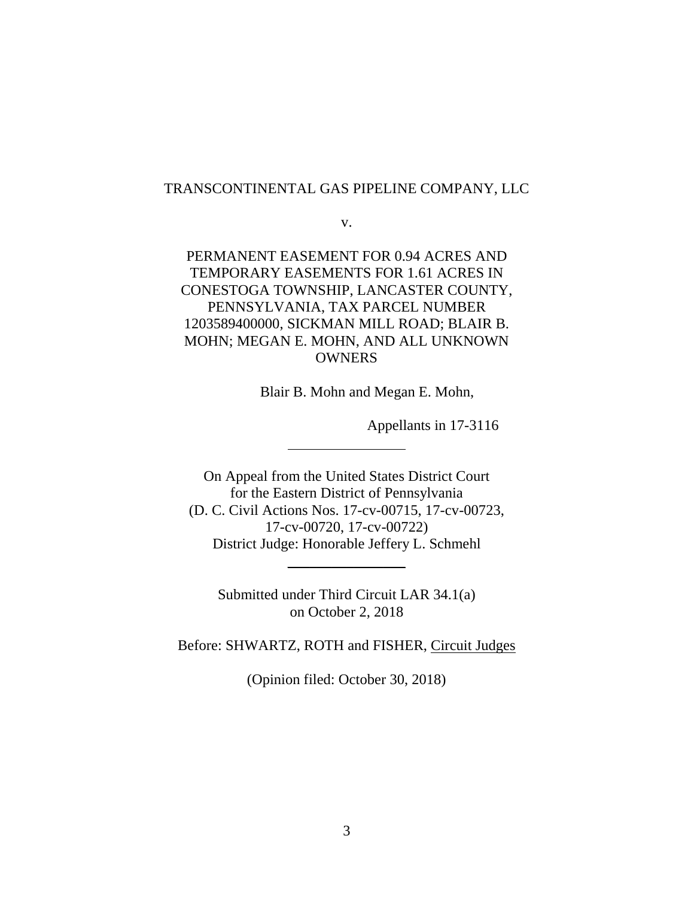### TRANSCONTINENTAL GAS PIPELINE COMPANY, LLC

v.

PERMANENT EASEMENT FOR 0.94 ACRES AND TEMPORARY EASEMENTS FOR 1.61 ACRES IN CONESTOGA TOWNSHIP, LANCASTER COUNTY, PENNSYLVANIA, TAX PARCEL NUMBER 1203589400000, SICKMAN MILL ROAD; BLAIR B. MOHN; MEGAN E. MOHN, AND ALL UNKNOWN **OWNERS** 

Blair B. Mohn and Megan E. Mohn,

Appellants in 17-3116

On Appeal from the United States District Court for the Eastern District of Pennsylvania (D. C. Civil Actions Nos. 17-cv-00715, 17-cv-00723, 17-cv-00720, 17-cv-00722) District Judge: Honorable Jeffery L. Schmehl

Submitted under Third Circuit LAR 34.1(a) on October 2, 2018

\_\_\_\_\_\_\_\_\_\_\_\_\_\_\_\_

Before: SHWARTZ, ROTH and FISHER, Circuit Judges

(Opinion filed: October 30, 2018)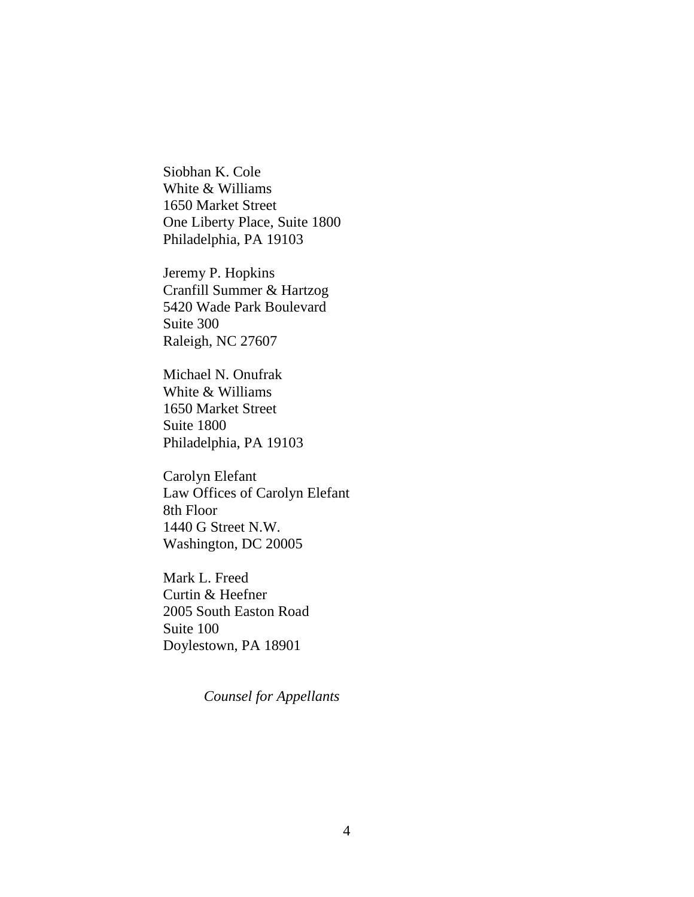Siobhan K. Cole White & Williams 1650 Market Street One Liberty Place, Suite 1800 Philadelphia, PA 19103

Jeremy P. Hopkins Cranfill Summer & Hartzog 5420 Wade Park Boulevard Suite 300 Raleigh, NC 27607

Michael N. Onufrak White & Williams 1650 Market Street Suite 1800 Philadelphia, PA 19103

Carolyn Elefant Law Offices of Carolyn Elefant 8th Floor 1440 G Street N.W. Washington, DC 20005

Mark L. Freed Curtin & Heefner 2005 South Easton Road Suite 100 Doylestown, PA 18901

*Counsel for Appellants*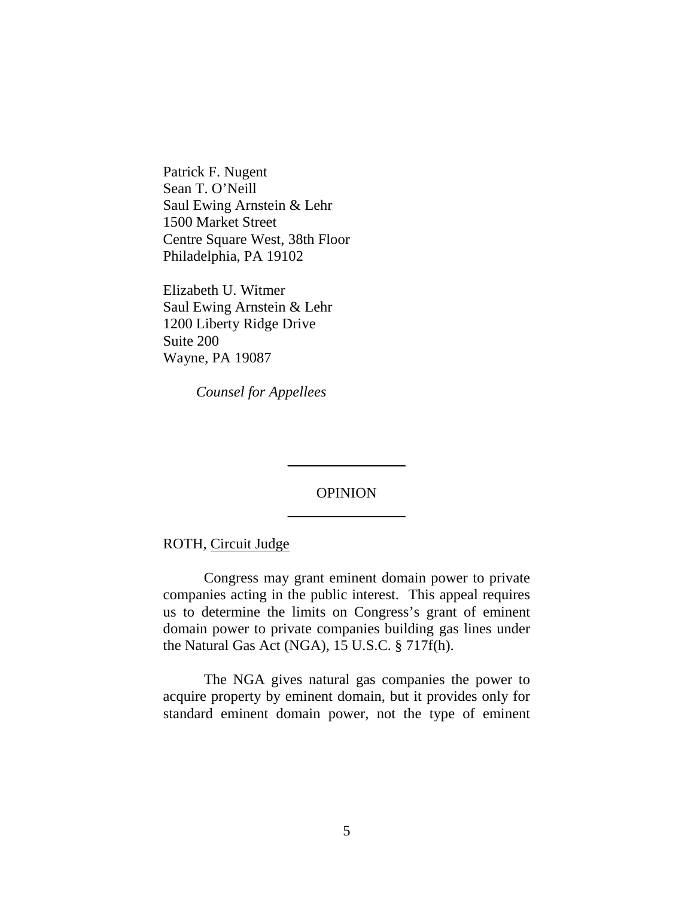Patrick F. Nugent Sean T. O'Neill Saul Ewing Arnstein & Lehr 1500 Market Street Centre Square West, 38th Floor Philadelphia, PA 19102

Elizabeth U. Witmer Saul Ewing Arnstein & Lehr 1200 Liberty Ridge Drive Suite 200 Wayne, PA 19087

 *Counsel for Appellees* 

# OPINION  $\overline{\phantom{a}}$  , where  $\overline{\phantom{a}}$

\_\_\_\_\_\_\_\_\_\_\_\_\_\_\_\_

ROTH, Circuit Judge

Congress may grant eminent domain power to private companies acting in the public interest. This appeal requires us to determine the limits on Congress's grant of eminent domain power to private companies building gas lines under the Natural Gas Act (NGA), 15 U.S.C. § 717f(h).

The NGA gives natural gas companies the power to acquire property by eminent domain, but it provides only for standard eminent domain power, not the type of eminent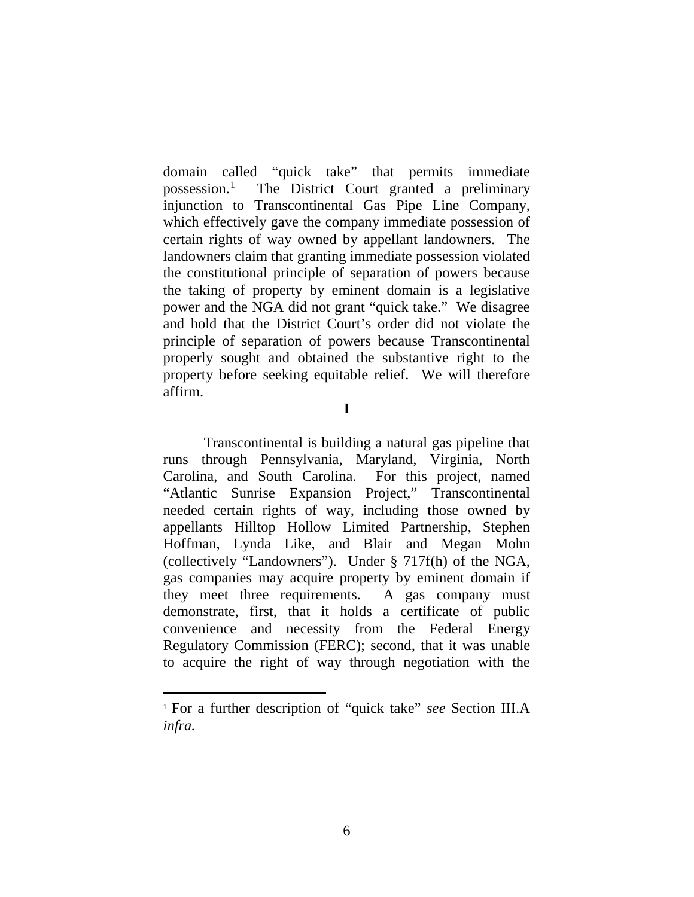domain called "quick take" that permits immediate possession.1 The District Court granted a preliminary injunction to Transcontinental Gas Pipe Line Company, which effectively gave the company immediate possession of certain rights of way owned by appellant landowners. The landowners claim that granting immediate possession violated the constitutional principle of separation of powers because the taking of property by eminent domain is a legislative power and the NGA did not grant "quick take." We disagree and hold that the District Court's order did not violate the principle of separation of powers because Transcontinental properly sought and obtained the substantive right to the property before seeking equitable relief. We will therefore affirm.

**I**

Transcontinental is building a natural gas pipeline that runs through Pennsylvania, Maryland, Virginia, North Carolina, and South Carolina. For this project, named "Atlantic Sunrise Expansion Project," Transcontinental needed certain rights of way, including those owned by appellants Hilltop Hollow Limited Partnership, Stephen Hoffman, Lynda Like, and Blair and Megan Mohn (collectively "Landowners"). Under § 717f(h) of the NGA, gas companies may acquire property by eminent domain if they meet three requirements. A gas company must demonstrate, first, that it holds a certificate of public convenience and necessity from the Federal Energy Regulatory Commission (FERC); second, that it was unable to acquire the right of way through negotiation with the

 <sup>1</sup> For a further description of "quick take" *see* Section III.A *infra.*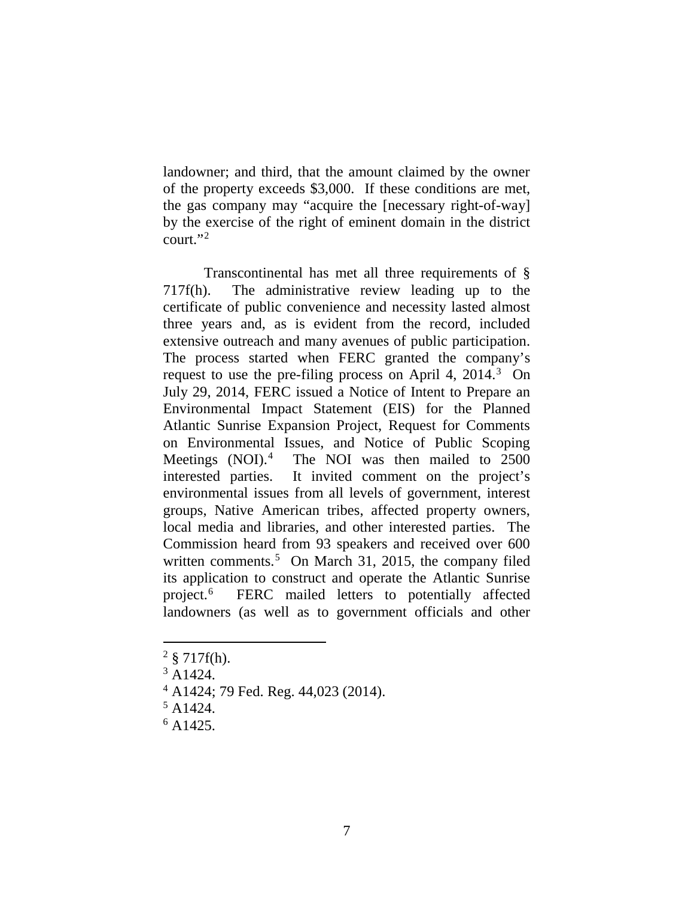landowner; and third, that the amount claimed by the owner of the property exceeds \$3,000. If these conditions are met, the gas company may "acquire the [necessary right-of-way] by the exercise of the right of eminent domain in the district court." $^2$ 

Transcontinental has met all three requirements of § 717f(h). The administrative review leading up to the certificate of public convenience and necessity lasted almost three years and, as is evident from the record, included extensive outreach and many avenues of public participation. The process started when FERC granted the company's request to use the pre-filing process on April 4, 2014.<sup>3</sup> On July 29, 2014, FERC issued a Notice of Intent to Prepare an Environmental Impact Statement (EIS) for the Planned Atlantic Sunrise Expansion Project, Request for Comments on Environmental Issues, and Notice of Public Scoping Meetings (NOI).<sup>4</sup> The NOI was then mailed to 2500 interested parties. It invited comment on the project's environmental issues from all levels of government, interest groups, Native American tribes, affected property owners, local media and libraries, and other interested parties. The Commission heard from 93 speakers and received over 600 written comments.<sup>5</sup> On March 31, 2015, the company filed its application to construct and operate the Atlantic Sunrise project.6 FERC mailed letters to potentially affected landowners (as well as to government officials and other

 $2 \text{ } 8 \text{ } 717f(h).$ 

 $3$  A<sub>1424</sub>.

<sup>4</sup> A1424; 79 Fed. Reg. 44,023 (2014).

 $5$  A1424.

 $6$  A1425.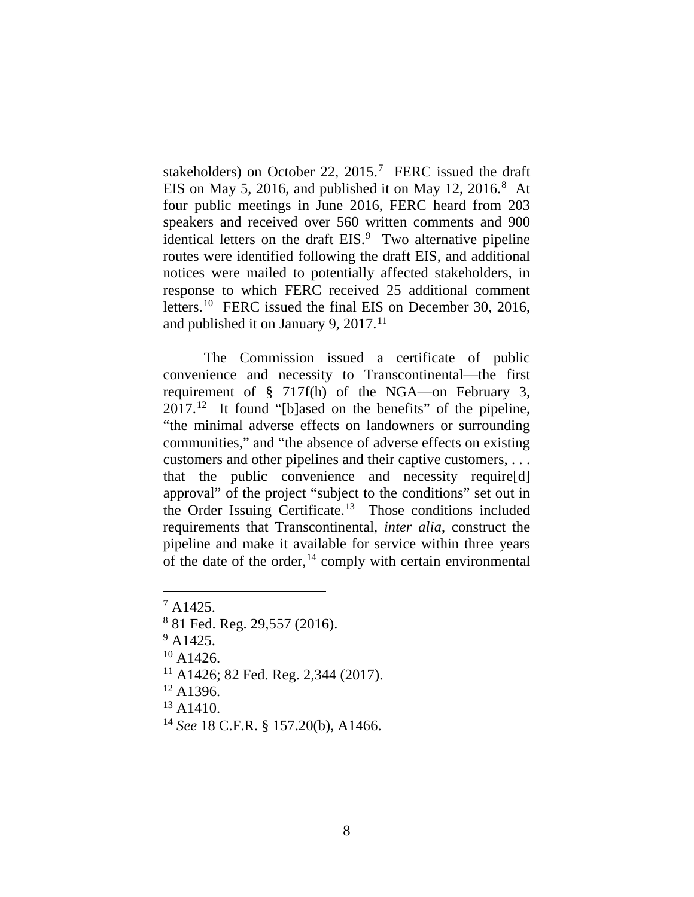stakeholders) on October 22,  $2015$ .<sup>7</sup> FERC issued the draft EIS on May 5, 2016, and published it on May 12, 2016. $8$  At four public meetings in June 2016, FERC heard from 203 speakers and received over 560 written comments and 900 identical letters on the draft EIS.<sup>9</sup> Two alternative pipeline routes were identified following the draft EIS, and additional notices were mailed to potentially affected stakeholders, in response to which FERC received 25 additional comment letters.<sup>10</sup> FERC issued the final EIS on December 30, 2016, and published it on January 9,  $2017$ .<sup>11</sup>

The Commission issued a certificate of public convenience and necessity to Transcontinental—the first requirement of § 717f(h) of the NGA—on February 3,  $2017<sup>12</sup>$  It found "[b]ased on the benefits" of the pipeline, "the minimal adverse effects on landowners or surrounding communities," and "the absence of adverse effects on existing customers and other pipelines and their captive customers, . . . that the public convenience and necessity require[d] approval" of the project "subject to the conditions" set out in the Order Issuing Certificate.13 Those conditions included requirements that Transcontinental, *inter alia*, construct the pipeline and make it available for service within three years of the date of the order,  $14$  comply with certain environmental

- $9$  A<sub>1425</sub>.
- $10$  A1426.
- $11$  A1426; 82 Fed. Reg. 2,344 (2017).
- $12$  A1396.

 $13$  A  $1410$ .

 $7$  A1425.

<sup>8</sup> 81 Fed. Reg. 29,557 (2016).

<sup>14</sup> *See* 18 C.F.R. § 157.20(b), A1466.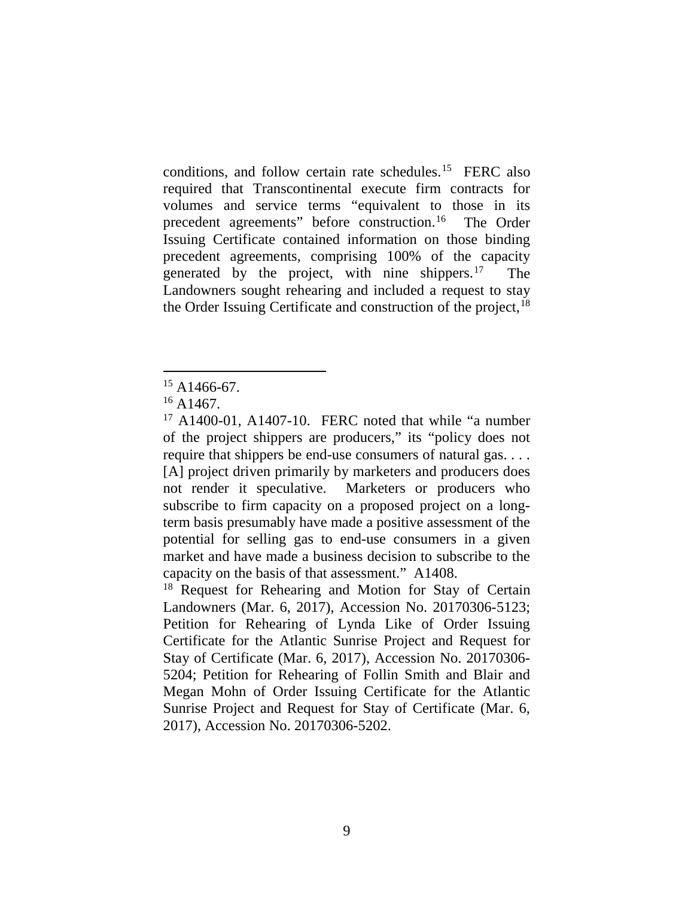conditions, and follow certain rate schedules.15 FERC also required that Transcontinental execute firm contracts for volumes and service terms "equivalent to those in its precedent agreements" before construction.16 The Order Issuing Certificate contained information on those binding precedent agreements, comprising 100% of the capacity generated by the project, with nine shippers. $17$  The Landowners sought rehearing and included a request to stay the Order Issuing Certificate and construction of the project, <sup>18</sup>

 $15$  A1466-67.

 $16$  A1467.

 $17$  A1400-01, A1407-10. FERC noted that while "a number of the project shippers are producers," its "policy does not require that shippers be end-use consumers of natural gas. . . . [A] project driven primarily by marketers and producers does not render it speculative. Marketers or producers who subscribe to firm capacity on a proposed project on a longterm basis presumably have made a positive assessment of the potential for selling gas to end-use consumers in a given market and have made a business decision to subscribe to the capacity on the basis of that assessment." A1408.

<sup>&</sup>lt;sup>18</sup> Request for Rehearing and Motion for Stay of Certain Landowners (Mar. 6, 2017), Accession No. 20170306-5123; Petition for Rehearing of Lynda Like of Order Issuing Certificate for the Atlantic Sunrise Project and Request for Stay of Certificate (Mar. 6, 2017), Accession No. 20170306- 5204; Petition for Rehearing of Follin Smith and Blair and Megan Mohn of Order Issuing Certificate for the Atlantic Sunrise Project and Request for Stay of Certificate (Mar. 6, 2017), Accession No. 20170306-5202.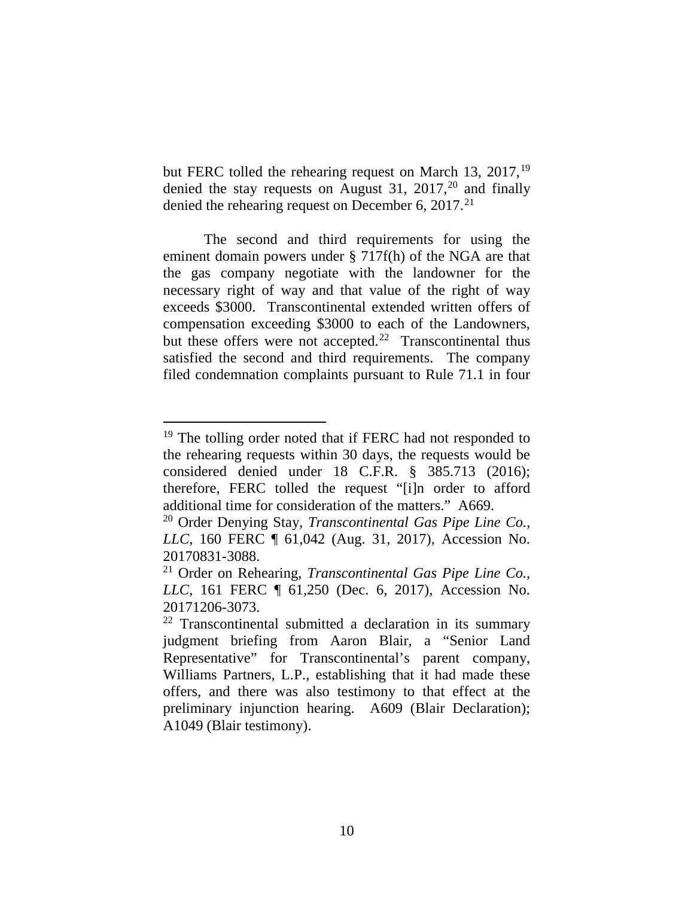but FERC tolled the rehearing request on March 13,  $2017$ ,<sup>19</sup> denied the stay requests on August 31, 2017,<sup>20</sup> and finally denied the rehearing request on December 6,  $2017<sup>21</sup>$ 

The second and third requirements for using the eminent domain powers under § 717f(h) of the NGA are that the gas company negotiate with the landowner for the necessary right of way and that value of the right of way exceeds \$3000. Transcontinental extended written offers of compensation exceeding \$3000 to each of the Landowners, but these offers were not accepted.<sup>22</sup> Transcontinental thus satisfied the second and third requirements. The company filed condemnation complaints pursuant to Rule 71.1 in four

<sup>&</sup>lt;sup>19</sup> The tolling order noted that if FERC had not responded to the rehearing requests within 30 days, the requests would be considered denied under 18 C.F.R. § 385.713 (2016); therefore, FERC tolled the request "[i]n order to afford additional time for consideration of the matters." A669.

<sup>20</sup> Order Denying Stay, *Transcontinental Gas Pipe Line Co., LLC*, 160 FERC ¶ 61,042 (Aug. 31, 2017), Accession No. 20170831-3088.

<sup>21</sup> Order on Rehearing, *Transcontinental Gas Pipe Line Co., LLC*, 161 FERC ¶ 61,250 (Dec. 6, 2017), Accession No. 20171206-3073.

<sup>22</sup> Transcontinental submitted a declaration in its summary judgment briefing from Aaron Blair, a "Senior Land Representative" for Transcontinental's parent company, Williams Partners, L.P., establishing that it had made these offers, and there was also testimony to that effect at the preliminary injunction hearing. A609 (Blair Declaration); A1049 (Blair testimony).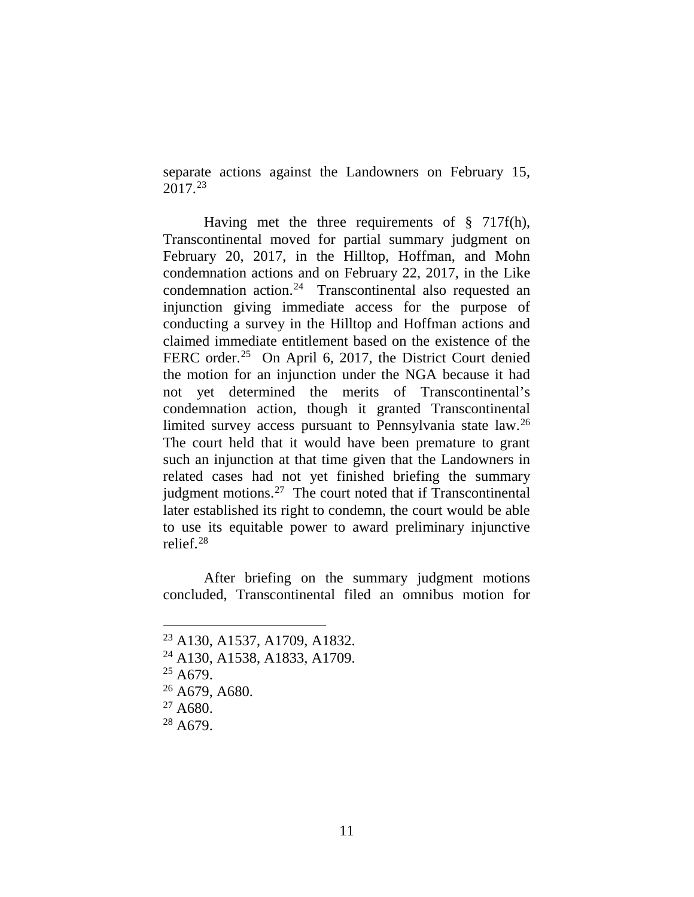separate actions against the Landowners on February 15, 2017.23

Having met the three requirements of § 717f(h), Transcontinental moved for partial summary judgment on February 20, 2017, in the Hilltop, Hoffman, and Mohn condemnation actions and on February 22, 2017, in the Like condemnation action.24 Transcontinental also requested an injunction giving immediate access for the purpose of conducting a survey in the Hilltop and Hoffman actions and claimed immediate entitlement based on the existence of the FERC order.<sup>25</sup> On April 6, 2017, the District Court denied the motion for an injunction under the NGA because it had not yet determined the merits of Transcontinental's condemnation action, though it granted Transcontinental limited survey access pursuant to Pennsylvania state law. 26 The court held that it would have been premature to grant such an injunction at that time given that the Landowners in related cases had not yet finished briefing the summary judgment motions.<sup>27</sup> The court noted that if Transcontinental later established its right to condemn, the court would be able to use its equitable power to award preliminary injunctive relief.28

After briefing on the summary judgment motions concluded, Transcontinental filed an omnibus motion for

- <sup>24</sup> A130, A1538, A1833, A1709.
- $25$  A679.

 <sup>23</sup> A130, A1537, A1709, A1832.

<sup>26</sup> A679, A680.

 $27 A680.$ 

<sup>28</sup> A679.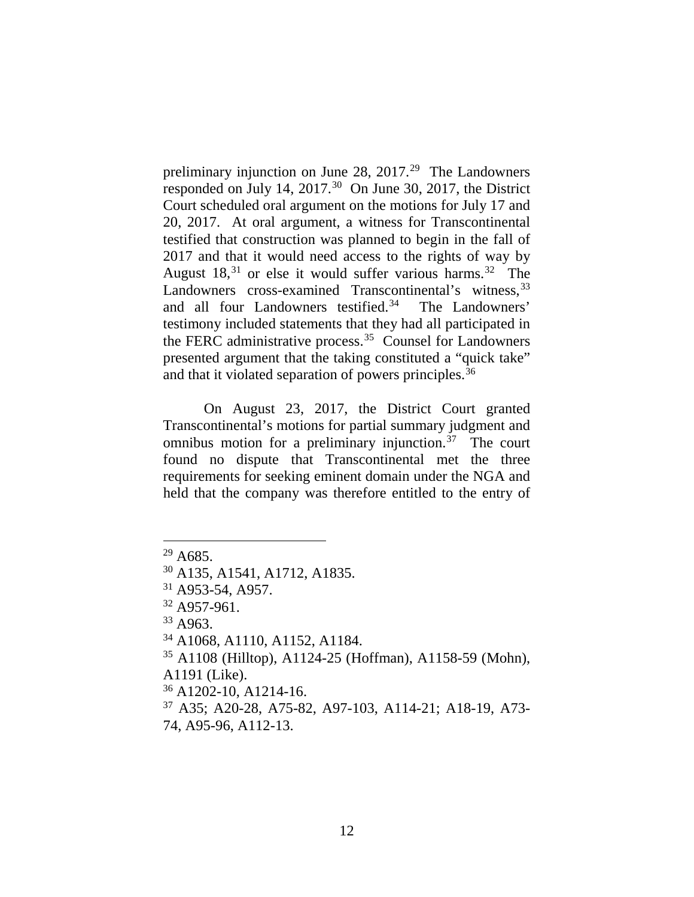preliminary injunction on June 28, 2017.<sup>29</sup> The Landowners responded on July 14, 2017.<sup>30</sup> On June 30, 2017, the District Court scheduled oral argument on the motions for July 17 and 20, 2017. At oral argument, a witness for Transcontinental testified that construction was planned to begin in the fall of 2017 and that it would need access to the rights of way by August  $18<sup>31</sup>$  or else it would suffer various harms.<sup>32</sup> The Landowners cross-examined Transcontinental's witness, 33 and all four Landowners testified.<sup>34</sup> The Landowners' testimony included statements that they had all participated in the FERC administrative process.35 Counsel for Landowners presented argument that the taking constituted a "quick take" and that it violated separation of powers principles.<sup>36</sup>

On August 23, 2017, the District Court granted Transcontinental's motions for partial summary judgment and omnibus motion for a preliminary injunction.37 The court found no dispute that Transcontinental met the three requirements for seeking eminent domain under the NGA and held that the company was therefore entitled to the entry of

 <sup>29</sup> A685.

<sup>30</sup> A135, A1541, A1712, A1835.

<sup>31</sup> A953-54, A957.

<sup>32</sup> A957-961.

 $33$  A963.

<sup>34</sup> A1068, A1110, A1152, A1184.

<sup>35</sup> A1108 (Hilltop), A1124-25 (Hoffman), A1158-59 (Mohn), A1191 (Like).

<sup>36</sup> A1202-10, A1214-16.

<sup>37</sup> A35; A20-28, A75-82, A97-103, A114-21; A18-19, A73- 74, A95-96, A112-13.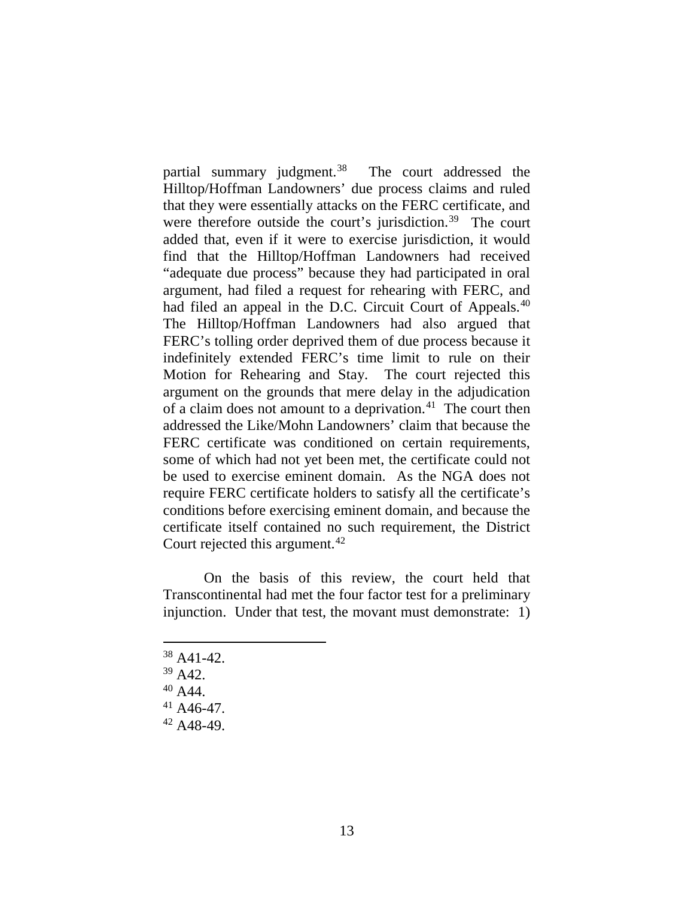partial summary judgment.<sup>38</sup> The court addressed the Hilltop/Hoffman Landowners' due process claims and ruled that they were essentially attacks on the FERC certificate, and were therefore outside the court's jurisdiction.<sup>39</sup> The court added that, even if it were to exercise jurisdiction, it would find that the Hilltop/Hoffman Landowners had received "adequate due process" because they had participated in oral argument, had filed a request for rehearing with FERC, and had filed an appeal in the D.C. Circuit Court of Appeals.<sup>40</sup> The Hilltop/Hoffman Landowners had also argued that FERC's tolling order deprived them of due process because it indefinitely extended FERC's time limit to rule on their Motion for Rehearing and Stay. The court rejected this argument on the grounds that mere delay in the adjudication of a claim does not amount to a deprivation. $41$  The court then addressed the Like/Mohn Landowners' claim that because the FERC certificate was conditioned on certain requirements, some of which had not yet been met, the certificate could not be used to exercise eminent domain. As the NGA does not require FERC certificate holders to satisfy all the certificate's conditions before exercising eminent domain, and because the certificate itself contained no such requirement, the District Court rejected this argument.<sup>42</sup>

On the basis of this review, the court held that Transcontinental had met the four factor test for a preliminary injunction. Under that test, the movant must demonstrate: 1)

 $38$  A41-42.

- <sup>40</sup> A44.
- 
- $^{41}$  A46-47.<br> $^{42}$  A48-49.

 $39$  A42.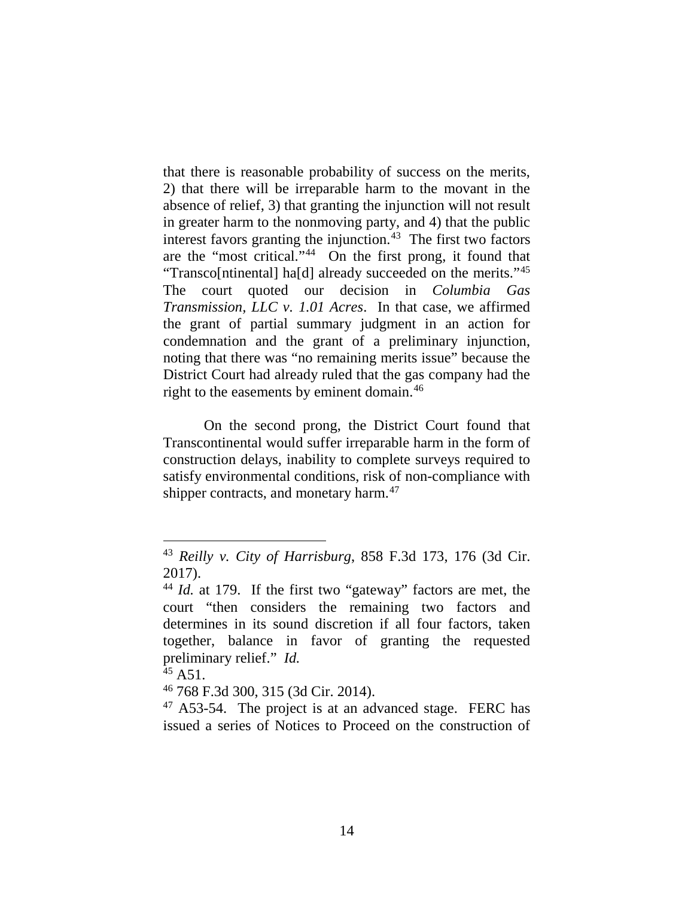that there is reasonable probability of success on the merits, 2) that there will be irreparable harm to the movant in the absence of relief, 3) that granting the injunction will not result in greater harm to the nonmoving party, and 4) that the public interest favors granting the injunction. $43$  The first two factors are the "most critical."44 On the first prong, it found that "Transco[ntinental] ha[d] already succeeded on the merits."45 The court quoted our decision in *Columbia Gas Transmission, LLC v. 1.01 Acres*. In that case, we affirmed the grant of partial summary judgment in an action for condemnation and the grant of a preliminary injunction, noting that there was "no remaining merits issue" because the District Court had already ruled that the gas company had the right to the easements by eminent domain. 46

On the second prong, the District Court found that Transcontinental would suffer irreparable harm in the form of construction delays, inability to complete surveys required to satisfy environmental conditions, risk of non-compliance with shipper contracts, and monetary harm.<sup>47</sup>

 <sup>43</sup> *Reilly v. City of Harrisburg*, 858 F.3d 173, 176 (3d Cir. 2017).

<sup>44</sup> *Id.* at 179.If the first two "gateway" factors are met, the court "then considers the remaining two factors and determines in its sound discretion if all four factors, taken together, balance in favor of granting the requested preliminary relief." *Id.*<br><sup>45</sup> A51.<br><sup>46</sup> 768 F.3d 300, 315 (3d Cir. 2014).

 $47$  A53-54. The project is at an advanced stage. FERC has issued a series of Notices to Proceed on the construction of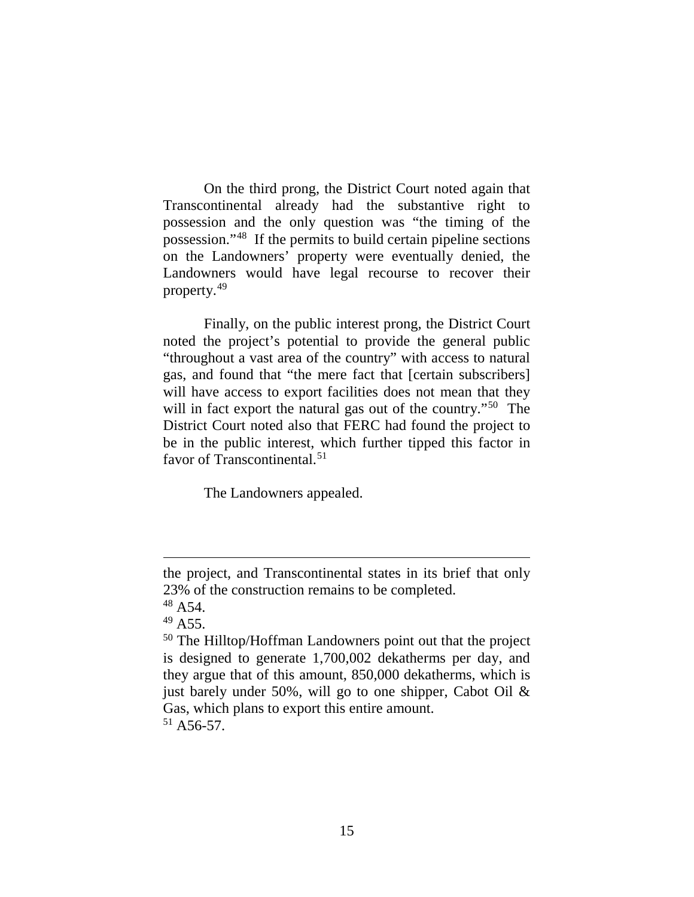On the third prong, the District Court noted again that Transcontinental already had the substantive right to possession and the only question was "the timing of the possession."48 If the permits to build certain pipeline sections on the Landowners' property were eventually denied, the Landowners would have legal recourse to recover their property.49

Finally, on the public interest prong, the District Court noted the project's potential to provide the general public "throughout a vast area of the country" with access to natural gas, and found that "the mere fact that [certain subscribers] will have access to export facilities does not mean that they will in fact export the natural gas out of the country."<sup>50</sup> The District Court noted also that FERC had found the project to be in the public interest, which further tipped this factor in favor of Transcontinental.<sup>51</sup>

The Landowners appealed.

the project, and Transcontinental states in its brief that only 23% of the construction remains to be completed.

 $48$  A 54.

 $49A55$ .

<sup>50</sup> The Hilltop/Hoffman Landowners point out that the project is designed to generate 1,700,002 dekatherms per day, and they argue that of this amount, 850,000 dekatherms, which is just barely under 50%, will go to one shipper, Cabot Oil  $\&$ Gas, which plans to export this entire amount.  $51$  A56-57.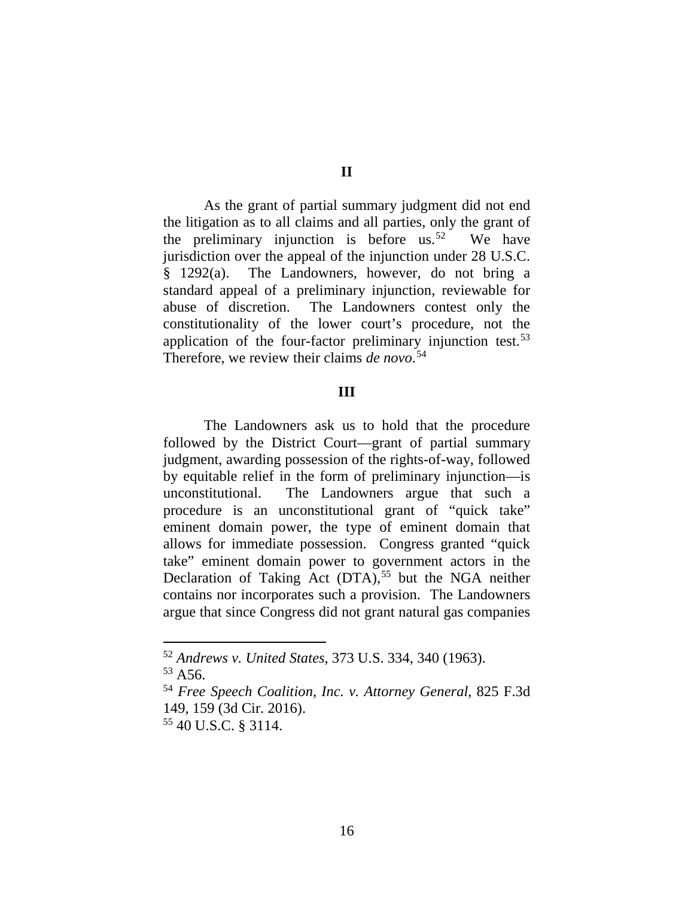As the grant of partial summary judgment did not end the litigation as to all claims and all parties, only the grant of the preliminary injunction is before us.<sup>52</sup> We have jurisdiction over the appeal of the injunction under 28 U.S.C. § 1292(a). The Landowners, however, do not bring a standard appeal of a preliminary injunction, reviewable for abuse of discretion. The Landowners contest only the constitutionality of the lower court's procedure, not the application of the four-factor preliminary injunction test.<sup>53</sup> Therefore, we review their claims *de novo*. 54

#### **III**

The Landowners ask us to hold that the procedure followed by the District Court—grant of partial summary judgment, awarding possession of the rights-of-way, followed by equitable relief in the form of preliminary injunction—is unconstitutional. The Landowners argue that such a procedure is an unconstitutional grant of "quick take" eminent domain power, the type of eminent domain that allows for immediate possession. Congress granted "quick take" eminent domain power to government actors in the Declaration of Taking Act (DTA), <sup>55</sup> but the NGA neither contains nor incorporates such a provision. The Landowners argue that since Congress did not grant natural gas companies

### **II**

 <sup>52</sup> *Andrews v. United States*, 373 U.S. 334, 340 (1963).  $53$  A56.

<sup>54</sup> *Free Speech Coalition, Inc. v. Attorney General*, 825 F.3d 149, 159 (3d Cir. 2016).

<sup>55</sup> 40 U.S.C. § 3114.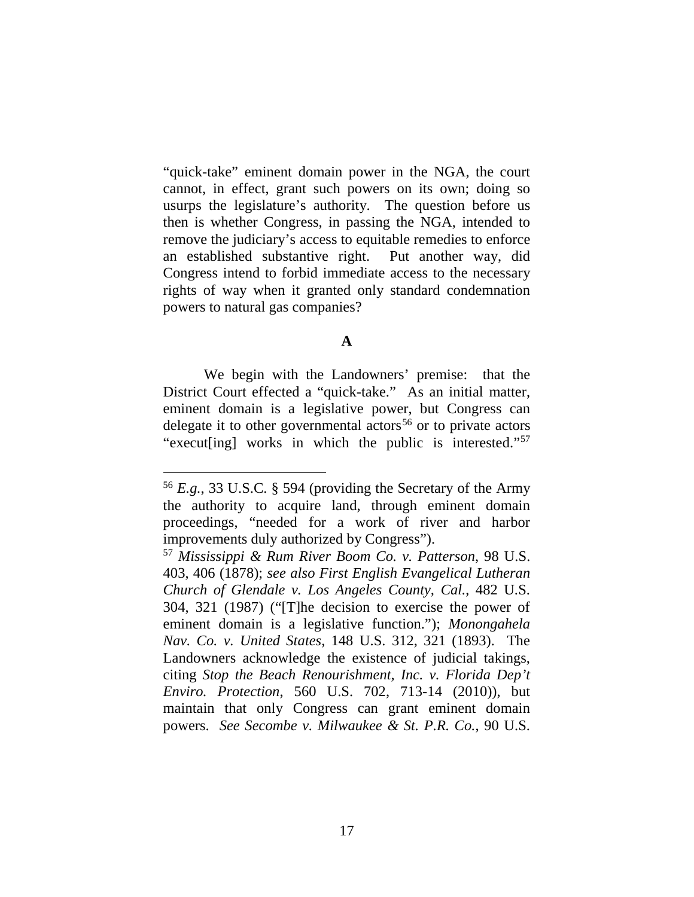"quick-take" eminent domain power in the NGA, the court cannot, in effect, grant such powers on its own; doing so usurps the legislature's authority. The question before us then is whether Congress, in passing the NGA, intended to remove the judiciary's access to equitable remedies to enforce an established substantive right. Put another way, did Congress intend to forbid immediate access to the necessary rights of way when it granted only standard condemnation powers to natural gas companies?

### **A**

We begin with the Landowners' premise: that the District Court effected a "quick-take." As an initial matter, eminent domain is a legislative power, but Congress can delegate it to other governmental actors<sup>56</sup> or to private actors "execut[ing] works in which the public is interested."57

 <sup>56</sup> *E.g.*, 33 U.S.C. § 594 (providing the Secretary of the Army the authority to acquire land, through eminent domain proceedings, "needed for a work of river and harbor improvements duly authorized by Congress"). 57 *Mississippi & Rum River Boom Co. v. Patterson*, 98 U.S.

<sup>403, 406 (1878);</sup> *see also First English Evangelical Lutheran Church of Glendale v. Los Angeles County, Cal.*, 482 U.S. 304, 321 (1987) ("[T]he decision to exercise the power of eminent domain is a legislative function."); *Monongahela Nav. Co. v. United States*, 148 U.S. 312, 321 (1893). The Landowners acknowledge the existence of judicial takings, citing *Stop the Beach Renourishment, Inc. v. Florida Dep't Enviro. Protection*, 560 U.S. 702, 713-14 (2010)), but maintain that only Congress can grant eminent domain powers. *See Secombe v. Milwaukee & St. P.R. Co.*, 90 U.S.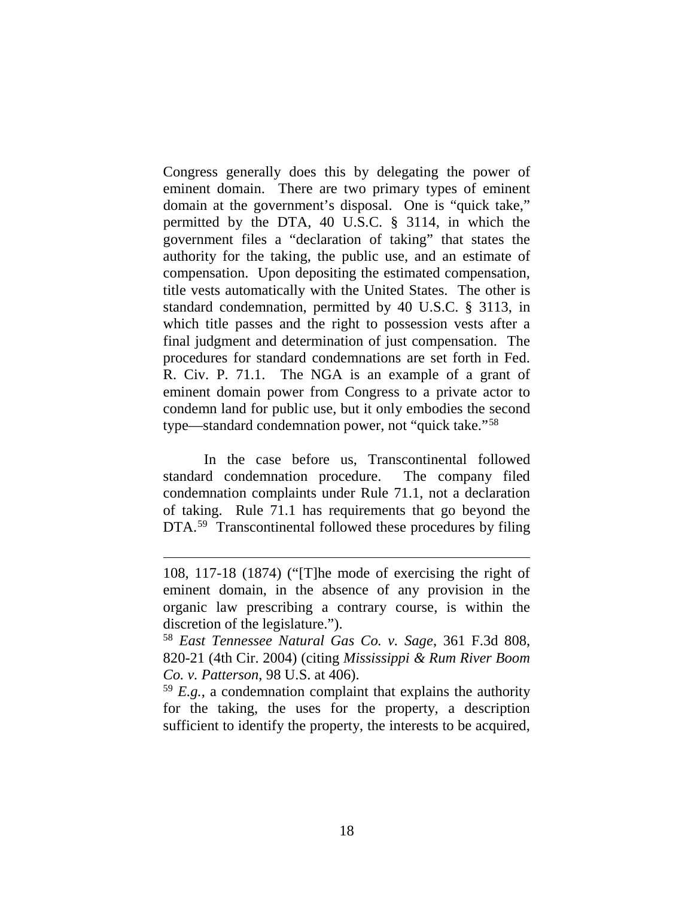Congress generally does this by delegating the power of eminent domain. There are two primary types of eminent domain at the government's disposal. One is "quick take," permitted by the DTA, 40 U.S.C. § 3114, in which the government files a "declaration of taking" that states the authority for the taking, the public use, and an estimate of compensation. Upon depositing the estimated compensation, title vests automatically with the United States. The other is standard condemnation, permitted by 40 U.S.C. § 3113, in which title passes and the right to possession vests after a final judgment and determination of just compensation. The procedures for standard condemnations are set forth in Fed. R. Civ. P. 71.1. The NGA is an example of a grant of eminent domain power from Congress to a private actor to condemn land for public use, but it only embodies the second type—standard condemnation power, not "quick take."58

In the case before us, Transcontinental followed standard condemnation procedure. The company filed condemnation complaints under Rule 71.1, not a declaration of taking. Rule 71.1 has requirements that go beyond the DTA.<sup>59</sup> Transcontinental followed these procedures by filing

<sup>108, 117-18 (1874) (&</sup>quot;[T]he mode of exercising the right of eminent domain, in the absence of any provision in the organic law prescribing a contrary course, is within the discretion of the legislature.").

<sup>58</sup> *East Tennessee Natural Gas Co. v. Sage*, 361 F.3d 808, 820-21 (4th Cir. 2004) (citing *Mississippi & Rum River Boom Co. v. Patterson*, 98 U.S. at 406).

<sup>59</sup> *E.g.*, a condemnation complaint that explains the authority for the taking, the uses for the property, a description sufficient to identify the property, the interests to be acquired,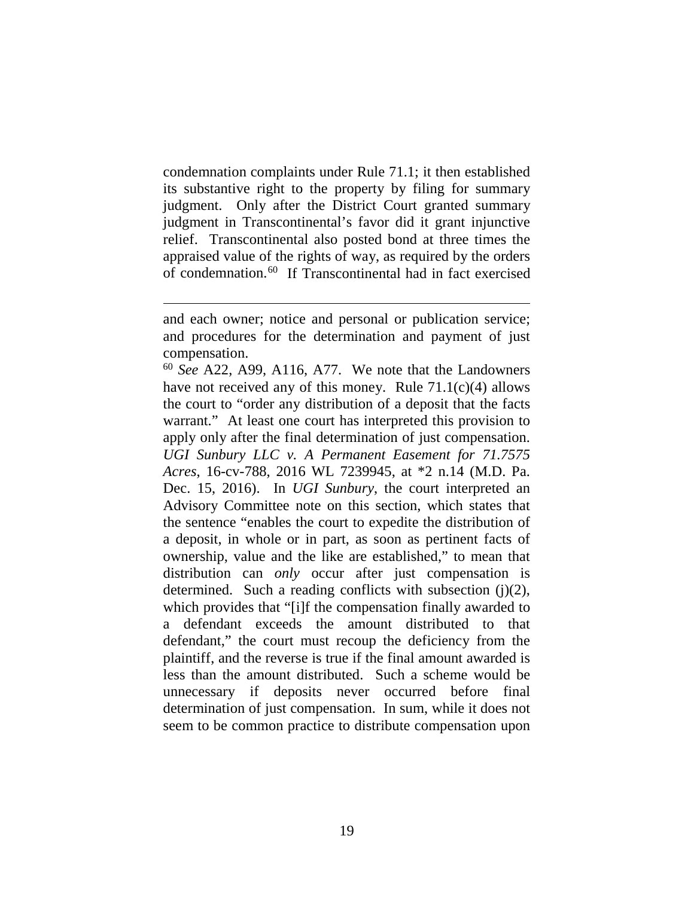condemnation complaints under Rule 71.1; it then established its substantive right to the property by filing for summary judgment. Only after the District Court granted summary judgment in Transcontinental's favor did it grant injunctive relief. Transcontinental also posted bond at three times the appraised value of the rights of way, as required by the orders of condemnation. 60 If Transcontinental had in fact exercised

and each owner; notice and personal or publication service; and procedures for the determination and payment of just compensation.

<sup>60</sup> *See* A22, A99, A116, A77. We note that the Landowners have not received any of this money. Rule 71.1(c)(4) allows the court to "order any distribution of a deposit that the facts warrant." At least one court has interpreted this provision to apply only after the final determination of just compensation. *UGI Sunbury LLC v. A Permanent Easement for 71.7575 Acres*, 16-cv-788, 2016 WL 7239945, at \*2 n.14 (M.D. Pa. Dec. 15, 2016). In *UGI Sunbury*, the court interpreted an Advisory Committee note on this section, which states that the sentence "enables the court to expedite the distribution of a deposit, in whole or in part, as soon as pertinent facts of ownership, value and the like are established," to mean that distribution can *only* occur after just compensation is determined. Such a reading conflicts with subsection  $(i)(2)$ , which provides that "[i]f the compensation finally awarded to a defendant exceeds the amount distributed to that defendant," the court must recoup the deficiency from the plaintiff, and the reverse is true if the final amount awarded is less than the amount distributed. Such a scheme would be unnecessary if deposits never occurred before final determination of just compensation. In sum, while it does not seem to be common practice to distribute compensation upon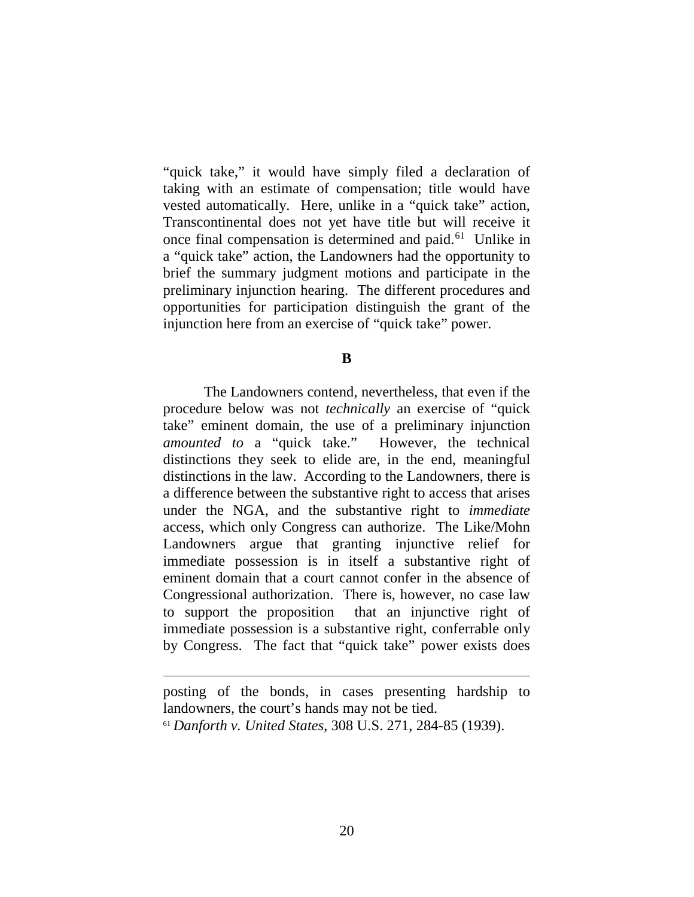"quick take," it would have simply filed a declaration of taking with an estimate of compensation; title would have vested automatically. Here, unlike in a "quick take" action, Transcontinental does not yet have title but will receive it once final compensation is determined and paid.61 Unlike in a "quick take" action, the Landowners had the opportunity to brief the summary judgment motions and participate in the preliminary injunction hearing. The different procedures and opportunities for participation distinguish the grant of the injunction here from an exercise of "quick take" power.

**B**

The Landowners contend, nevertheless, that even if the procedure below was not *technically* an exercise of "quick take" eminent domain, the use of a preliminary injunction *amounted to* a "quick take." However, the technical distinctions they seek to elide are, in the end, meaningful distinctions in the law. According to the Landowners, there is a difference between the substantive right to access that arises under the NGA, and the substantive right to *immediate*  access, which only Congress can authorize. The Like/Mohn Landowners argue that granting injunctive relief for immediate possession is in itself a substantive right of eminent domain that a court cannot confer in the absence of Congressional authorization. There is, however, no case law to support the proposition that an injunctive right of immediate possession is a substantive right, conferrable only by Congress. The fact that "quick take" power exists does

posting of the bonds, in cases presenting hardship to landowners, the court's hands may not be tied.

<sup>61</sup> *Danforth v. United States*, 308 U.S. 271, 284-85 (1939).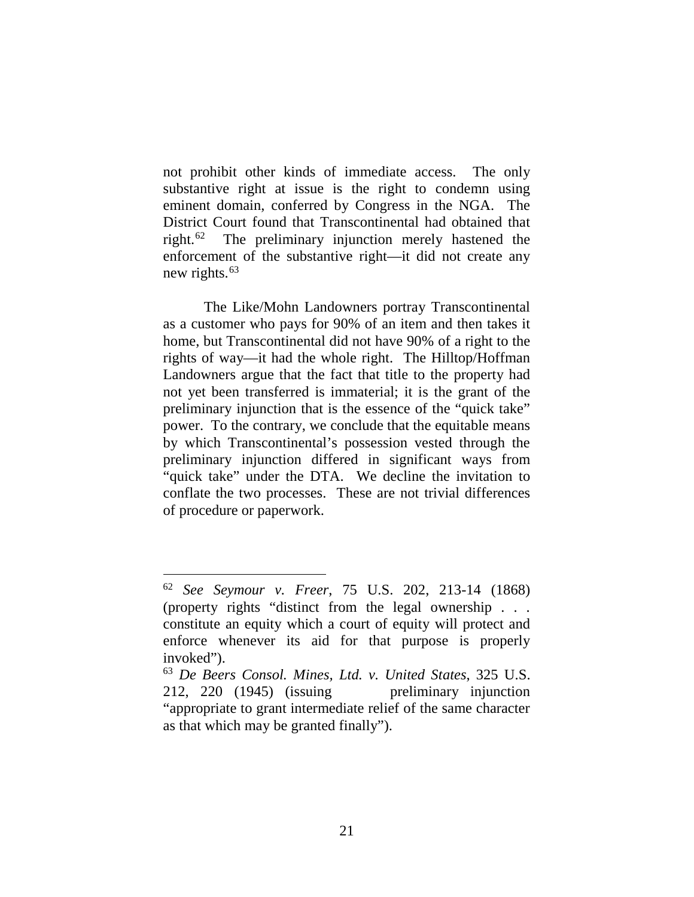not prohibit other kinds of immediate access. The only substantive right at issue is the right to condemn using eminent domain, conferred by Congress in the NGA. The District Court found that Transcontinental had obtained that right.62 The preliminary injunction merely hastened the enforcement of the substantive right—it did not create any new rights. 63

The Like/Mohn Landowners portray Transcontinental as a customer who pays for 90% of an item and then takes it home, but Transcontinental did not have 90% of a right to the rights of way—it had the whole right. The Hilltop/Hoffman Landowners argue that the fact that title to the property had not yet been transferred is immaterial; it is the grant of the preliminary injunction that is the essence of the "quick take" power. To the contrary, we conclude that the equitable means by which Transcontinental's possession vested through the preliminary injunction differed in significant ways from "quick take" under the DTA. We decline the invitation to conflate the two processes. These are not trivial differences of procedure or paperwork.

 <sup>62</sup> *See Seymour v. Freer*, 75 U.S. 202, 213-14 (1868) (property rights "distinct from the legal ownership . . . constitute an equity which a court of equity will protect and enforce whenever its aid for that purpose is properly invoked").

<sup>63</sup> *De Beers Consol. Mines, Ltd. v. United States*, 325 U.S. 212, 220 (1945) (issuing preliminary injunction "appropriate to grant intermediate relief of the same character as that which may be granted finally").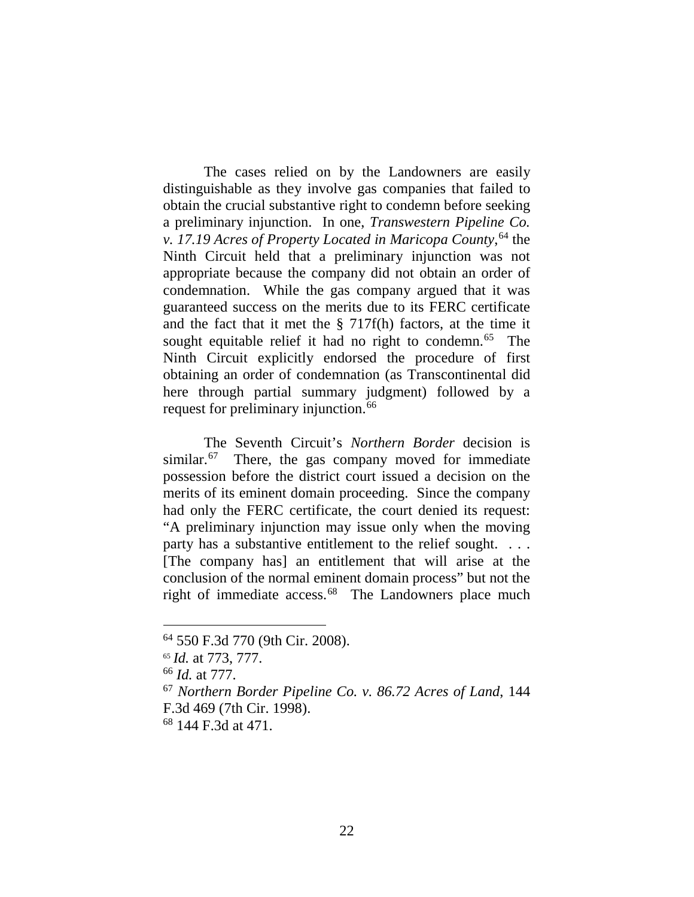The cases relied on by the Landowners are easily distinguishable as they involve gas companies that failed to obtain the crucial substantive right to condemn before seeking a preliminary injunction. In one, *Transwestern Pipeline Co. v. 17.19 Acres of Property Located in Maricopa County*, <sup>64</sup> the Ninth Circuit held that a preliminary injunction was not appropriate because the company did not obtain an order of condemnation. While the gas company argued that it was guaranteed success on the merits due to its FERC certificate and the fact that it met the § 717f(h) factors, at the time it sought equitable relief it had no right to condemn.<sup>65</sup> The Ninth Circuit explicitly endorsed the procedure of first obtaining an order of condemnation (as Transcontinental did here through partial summary judgment) followed by a request for preliminary injunction.<sup>66</sup>

The Seventh Circuit's *Northern Border* decision is similar.<sup>67</sup> There, the gas company moved for immediate possession before the district court issued a decision on the merits of its eminent domain proceeding. Since the company had only the FERC certificate, the court denied its request: "A preliminary injunction may issue only when the moving party has a substantive entitlement to the relief sought. . . . [The company has] an entitlement that will arise at the conclusion of the normal eminent domain process" but not the right of immediate access.<sup>68</sup> The Landowners place much

<sup>64</sup> 550 F.3d 770 (9th Cir. 2008). 65 *Id.* at 773, 777.

<sup>66</sup> *Id.* at 777.

<sup>67</sup> *Northern Border Pipeline Co. v. 86.72 Acres of Land*, 144 F.3d 469 (7th Cir. 1998).

<sup>68</sup> 144 F.3d at 471.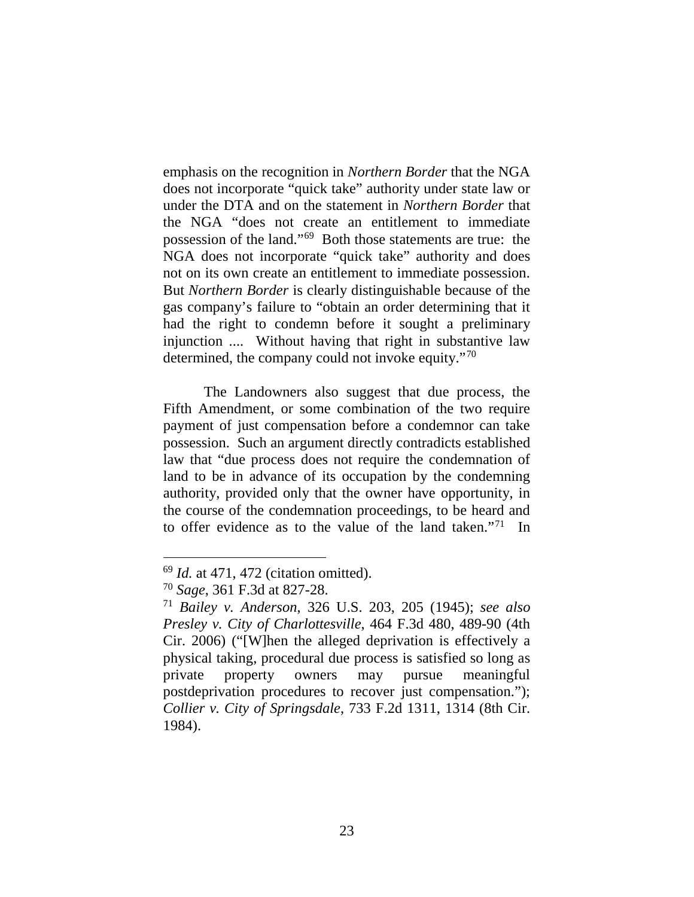emphasis on the recognition in *Northern Border* that the NGA does not incorporate "quick take" authority under state law or under the DTA and on the statement in *Northern Border* that the NGA "does not create an entitlement to immediate possession of the land."69 Both those statements are true: the NGA does not incorporate "quick take" authority and does not on its own create an entitlement to immediate possession. But *Northern Border* is clearly distinguishable because of the gas company's failure to "obtain an order determining that it had the right to condemn before it sought a preliminary injunction .... Without having that right in substantive law determined, the company could not invoke equity."<sup>70</sup>

The Landowners also suggest that due process, the Fifth Amendment, or some combination of the two require payment of just compensation before a condemnor can take possession. Such an argument directly contradicts established law that "due process does not require the condemnation of land to be in advance of its occupation by the condemning authority, provided only that the owner have opportunity, in the course of the condemnation proceedings, to be heard and to offer evidence as to the value of the land taken."71 In

 <sup>69</sup> *Id.* at 471, 472 (citation omitted).

<sup>70</sup> *Sage*, 361 F.3d at 827-28.

<sup>71</sup> *Bailey v. Anderson*, 326 U.S. 203, 205 (1945); *see also Presley v. City of Charlottesville*, 464 F.3d 480, 489-90 (4th Cir. 2006) ("[W]hen the alleged deprivation is effectively a physical taking, procedural due process is satisfied so long as private property owners may pursue meaningful postdeprivation procedures to recover just compensation."); *Collier v. City of Springsdale*, 733 F.2d 1311, 1314 (8th Cir. 1984).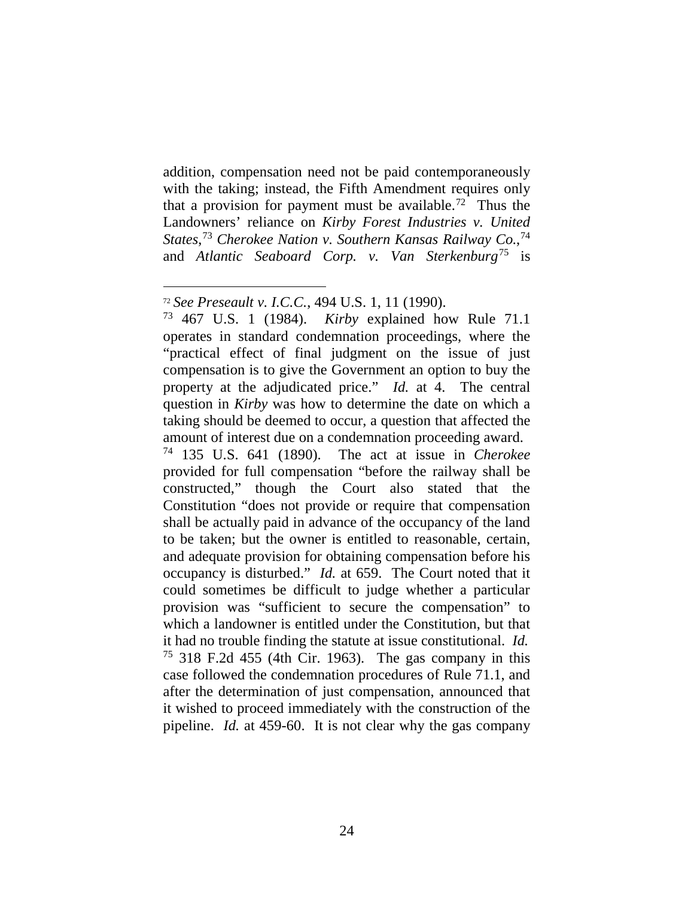addition, compensation need not be paid contemporaneously with the taking; instead, the Fifth Amendment requires only that a provision for payment must be available.<sup>72</sup> Thus the Landowners' reliance on *Kirby Forest Industries v. United States*, <sup>73</sup> *Cherokee Nation v. Southern Kansas Railway Co.*, 74 and *Atlantic Seaboard Corp. v. Van Sterkenburg*<sup>75</sup> is

<sup>74</sup> 135 U.S. 641 (1890). The act at issue in *Cherokee*  provided for full compensation "before the railway shall be constructed," though the Court also stated that the Constitution "does not provide or require that compensation shall be actually paid in advance of the occupancy of the land to be taken; but the owner is entitled to reasonable, certain, and adequate provision for obtaining compensation before his occupancy is disturbed." *Id.* at 659. The Court noted that it could sometimes be difficult to judge whether a particular provision was "sufficient to secure the compensation" to which a landowner is entitled under the Constitution, but that it had no trouble finding the statute at issue constitutional. *Id.*  $75$  318 F.2d 455 (4th Cir. 1963). The gas company in this case followed the condemnation procedures of Rule 71.1, and after the determination of just compensation, announced that it wished to proceed immediately with the construction of the pipeline. *Id.* at 459-60. It is not clear why the gas company

 <sup>72</sup> *See Preseault v. I.C.C.*, 494 U.S. 1, 11 (1990).

<sup>73</sup> 467 U.S. 1 (1984). *Kirby* explained how Rule 71.1 operates in standard condemnation proceedings, where the "practical effect of final judgment on the issue of just compensation is to give the Government an option to buy the property at the adjudicated price." *Id.* at 4. The central question in *Kirby* was how to determine the date on which a taking should be deemed to occur, a question that affected the amount of interest due on a condemnation proceeding award.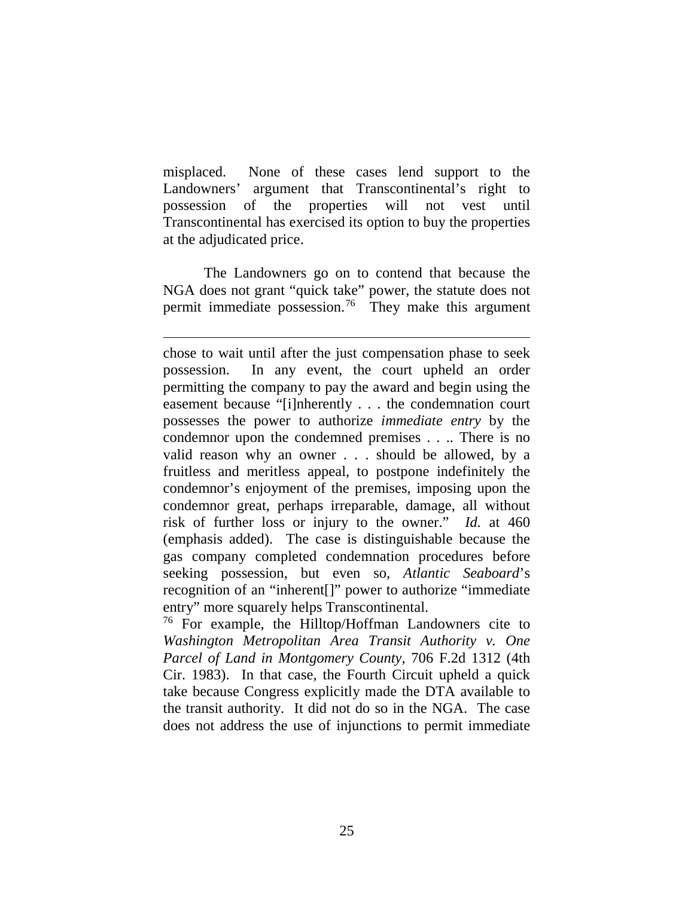misplaced. None of these cases lend support to the Landowners' argument that Transcontinental's right to possession of the properties will not vest until Transcontinental has exercised its option to buy the properties at the adjudicated price.

The Landowners go on to contend that because the NGA does not grant "quick take" power, the statute does not permit immediate possession.76 They make this argument

 $\overline{a}$ chose to wait until after the just compensation phase to seek possession. In any event, the court upheld an order permitting the company to pay the award and begin using the easement because "[i]nherently . . . the condemnation court possesses the power to authorize *immediate entry* by the condemnor upon the condemned premises . . .. There is no valid reason why an owner . . . should be allowed, by a fruitless and meritless appeal, to postpone indefinitely the condemnor's enjoyment of the premises, imposing upon the condemnor great, perhaps irreparable, damage, all without risk of further loss or injury to the owner." *Id.* at 460 (emphasis added). The case is distinguishable because the gas company completed condemnation procedures before seeking possession, but even so, *Atlantic Seaboard*'s recognition of an "inherent[]" power to authorize "immediate entry" more squarely helps Transcontinental.

<sup>76</sup> For example, the Hilltop/Hoffman Landowners cite to *Washington Metropolitan Area Transit Authority v. One Parcel of Land in Montgomery County*, 706 F.2d 1312 (4th Cir. 1983). In that case, the Fourth Circuit upheld a quick take because Congress explicitly made the DTA available to the transit authority. It did not do so in the NGA. The case does not address the use of injunctions to permit immediate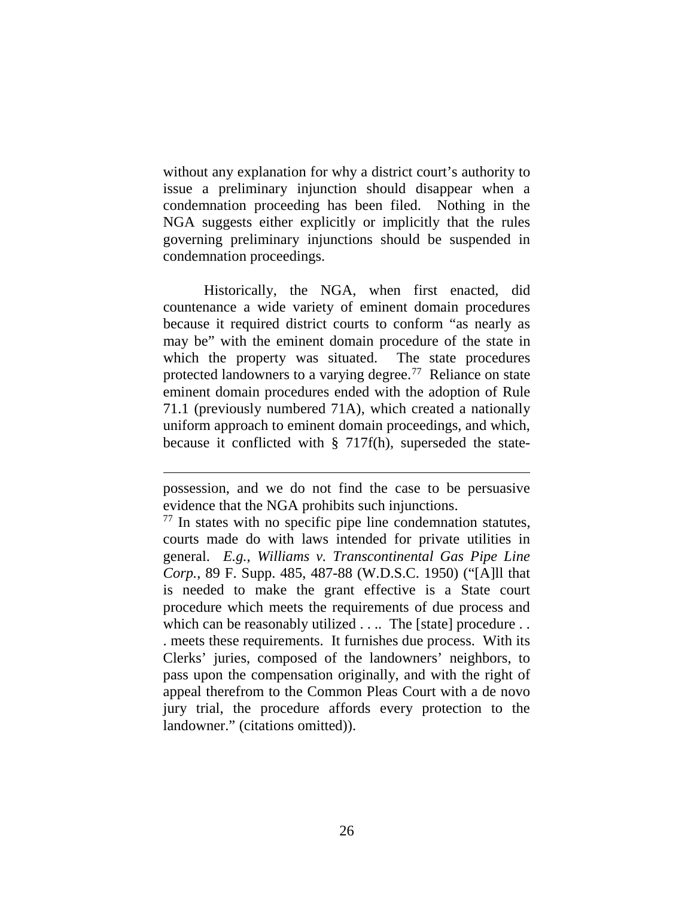without any explanation for why a district court's authority to issue a preliminary injunction should disappear when a condemnation proceeding has been filed. Nothing in the NGA suggests either explicitly or implicitly that the rules governing preliminary injunctions should be suspended in condemnation proceedings.

Historically, the NGA, when first enacted, did countenance a wide variety of eminent domain procedures because it required district courts to conform "as nearly as may be" with the eminent domain procedure of the state in which the property was situated. The state procedures protected landowners to a varying degree.<sup>77</sup> Reliance on state eminent domain procedures ended with the adoption of Rule 71.1 (previously numbered 71A), which created a nationally uniform approach to eminent domain proceedings, and which, because it conflicted with § 717f(h), superseded the state-

possession, and we do not find the case to be persuasive evidence that the NGA prohibits such injunctions.

 $77$  In states with no specific pipe line condemnation statutes, courts made do with laws intended for private utilities in general. *E.g.*, *Williams v. Transcontinental Gas Pipe Line Corp.*, 89 F. Supp. 485, 487-88 (W.D.S.C. 1950) ("[A]ll that is needed to make the grant effective is a State court procedure which meets the requirements of due process and which can be reasonably utilized . . .. The [state] procedure . . . meets these requirements. It furnishes due process. With its Clerks' juries, composed of the landowners' neighbors, to pass upon the compensation originally, and with the right of appeal therefrom to the Common Pleas Court with a de novo jury trial, the procedure affords every protection to the landowner." (citations omitted)).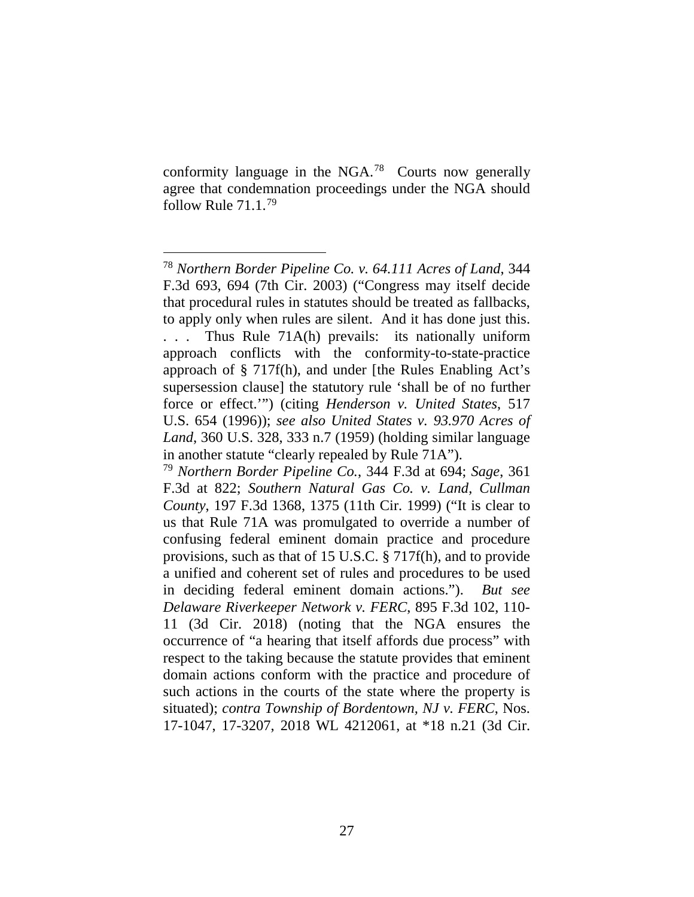conformity language in the NGA.78 Courts now generally agree that condemnation proceedings under the NGA should follow Rule 71.1. 79

 <sup>78</sup> *Northern Border Pipeline Co. v. 64.111 Acres of Land*, 344 F.3d 693, 694 (7th Cir. 2003) ("Congress may itself decide that procedural rules in statutes should be treated as fallbacks, to apply only when rules are silent. And it has done just this. . . . Thus Rule 71A(h) prevails: its nationally uniform approach conflicts with the conformity-to-state-practice approach of § 717f(h), and under [the Rules Enabling Act's supersession clause] the statutory rule 'shall be of no further force or effect.'") (citing *Henderson v. United States*, 517 U.S. 654 (1996)); *see also United States v. 93.970 Acres of Land*, 360 U.S. 328, 333 n.7 (1959) (holding similar language in another statute "clearly repealed by Rule 71A").

<sup>79</sup> *Northern Border Pipeline Co.*, 344 F.3d at 694; *Sage*, 361 F.3d at 822; *Southern Natural Gas Co. v. Land, Cullman County*, 197 F.3d 1368, 1375 (11th Cir. 1999) ("It is clear to us that Rule 71A was promulgated to override a number of confusing federal eminent domain practice and procedure provisions, such as that of 15 U.S.C. § 717f(h), and to provide a unified and coherent set of rules and procedures to be used in deciding federal eminent domain actions."). *But see Delaware Riverkeeper Network v. FERC*, 895 F.3d 102, 110- 11 (3d Cir. 2018) (noting that the NGA ensures the occurrence of "a hearing that itself affords due process" with respect to the taking because the statute provides that eminent domain actions conform with the practice and procedure of such actions in the courts of the state where the property is situated); *contra Township of Bordentown, NJ v. FERC*, Nos. 17-1047, 17-3207, 2018 WL 4212061, at \*18 n.21 (3d Cir.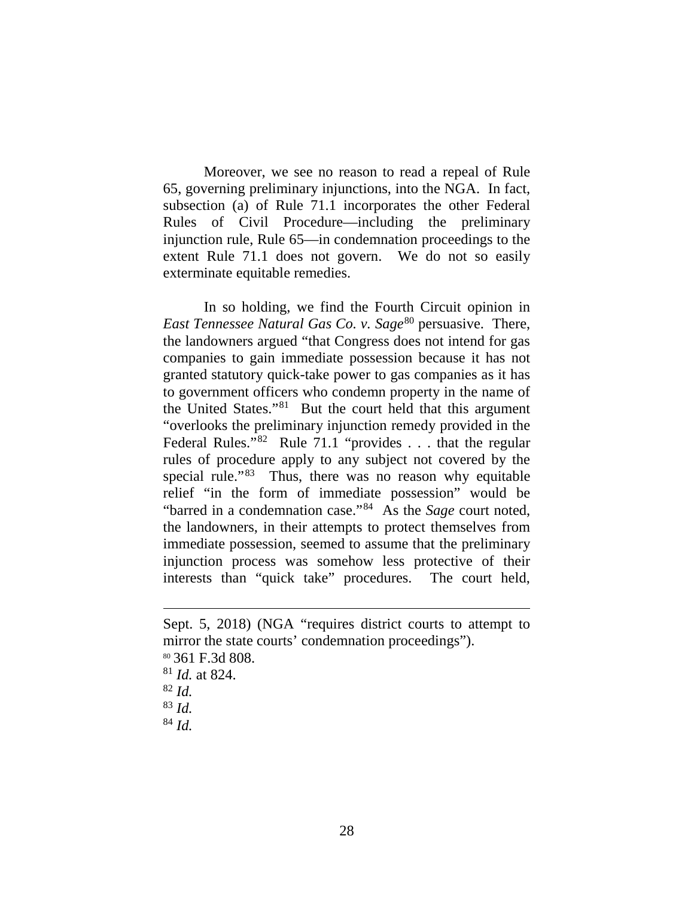Moreover, we see no reason to read a repeal of Rule 65, governing preliminary injunctions, into the NGA. In fact, subsection (a) of Rule 71.1 incorporates the other Federal Rules of Civil Procedure—including the preliminary injunction rule, Rule 65—in condemnation proceedings to the extent Rule 71.1 does not govern. We do not so easily exterminate equitable remedies.

In so holding, we find the Fourth Circuit opinion in *East Tennessee Natural Gas Co. v. Sage*<sup>80</sup> persuasive. There, the landowners argued "that Congress does not intend for gas companies to gain immediate possession because it has not granted statutory quick-take power to gas companies as it has to government officers who condemn property in the name of the United States."81 But the court held that this argument "overlooks the preliminary injunction remedy provided in the Federal Rules."<sup>82</sup> Rule 71.1 "provides . . . that the regular rules of procedure apply to any subject not covered by the special rule."83 Thus, there was no reason why equitable relief "in the form of immediate possession" would be "barred in a condemnation case."84 As the *Sage* court noted, the landowners, in their attempts to protect themselves from immediate possession, seemed to assume that the preliminary injunction process was somehow less protective of their interests than "quick take" procedures. The court held,

Sept. 5, 2018) (NGA "requires district courts to attempt to mirror the state courts' condemnation proceedings"). <sup>80</sup> 361 F.3d 808. <sup>81</sup> *Id.* at 824. 82 *Id.* 83 *Id.* 84 *Id.*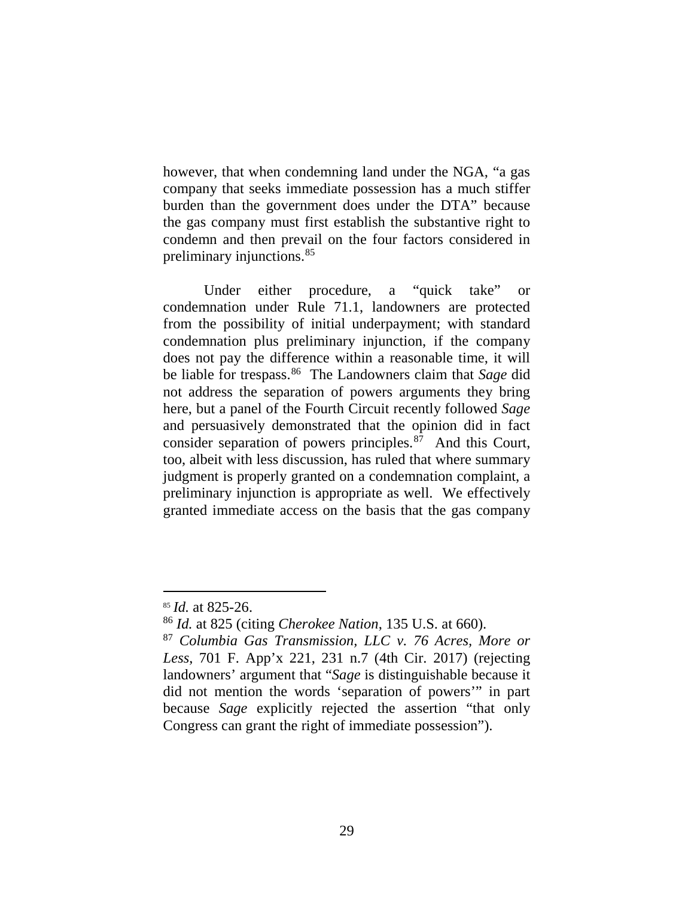however, that when condemning land under the NGA, "a gas company that seeks immediate possession has a much stiffer burden than the government does under the DTA" because the gas company must first establish the substantive right to condemn and then prevail on the four factors considered in preliminary injunctions.85

Under either procedure, a "quick take" or condemnation under Rule 71.1, landowners are protected from the possibility of initial underpayment; with standard condemnation plus preliminary injunction, if the company does not pay the difference within a reasonable time, it will be liable for trespass.86 The Landowners claim that *Sage* did not address the separation of powers arguments they bring here, but a panel of the Fourth Circuit recently followed *Sage* and persuasively demonstrated that the opinion did in fact consider separation of powers principles.<sup>87</sup> And this Court, too, albeit with less discussion, has ruled that where summary judgment is properly granted on a condemnation complaint, a preliminary injunction is appropriate as well. We effectively granted immediate access on the basis that the gas company

 <sup>85</sup> *Id.* at 825-26.

<sup>86</sup> *Id.* at 825 (citing *Cherokee Nation*, 135 U.S. at 660).

<sup>87</sup> *Columbia Gas Transmission, LLC v. 76 Acres, More or Less*, 701 F. App'x 221, 231 n.7 (4th Cir. 2017) (rejecting landowners' argument that "*Sage* is distinguishable because it did not mention the words 'separation of powers'" in part because *Sage* explicitly rejected the assertion "that only Congress can grant the right of immediate possession").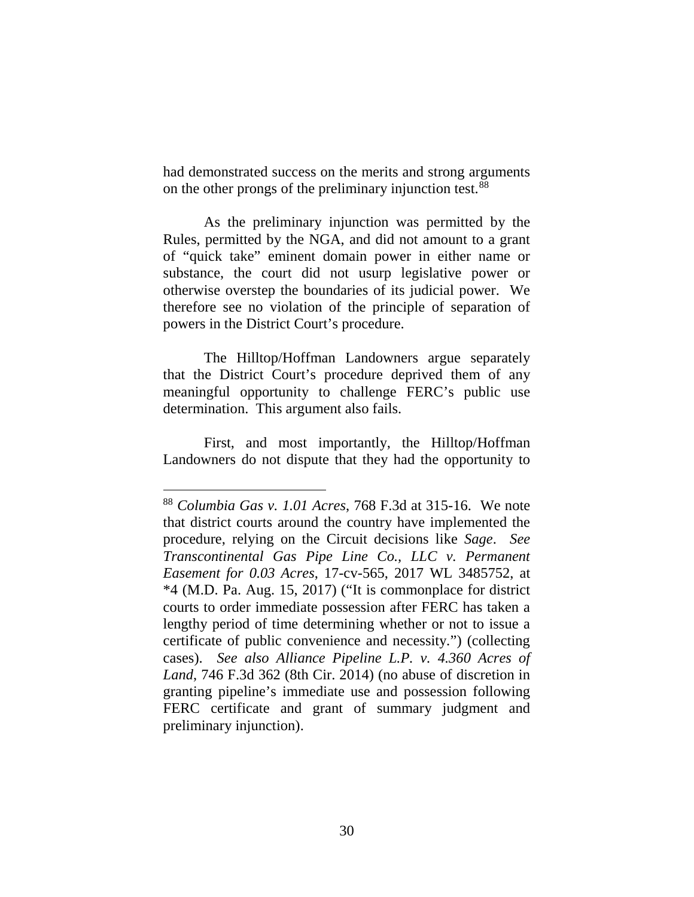had demonstrated success on the merits and strong arguments on the other prongs of the preliminary injunction test. 88

As the preliminary injunction was permitted by the Rules, permitted by the NGA, and did not amount to a grant of "quick take" eminent domain power in either name or substance, the court did not usurp legislative power or otherwise overstep the boundaries of its judicial power. We therefore see no violation of the principle of separation of powers in the District Court's procedure.

The Hilltop/Hoffman Landowners argue separately that the District Court's procedure deprived them of any meaningful opportunity to challenge FERC's public use determination. This argument also fails.

First, and most importantly, the Hilltop/Hoffman Landowners do not dispute that they had the opportunity to

 <sup>88</sup> *Columbia Gas v. 1.01 Acres*, 768 F.3d at 315-16. We note that district courts around the country have implemented the procedure, relying on the Circuit decisions like *Sage*. *See Transcontinental Gas Pipe Line Co., LLC v. Permanent Easement for 0.03 Acres*, 17-cv-565, 2017 WL 3485752, at \*4 (M.D. Pa. Aug. 15, 2017) ("It is commonplace for district courts to order immediate possession after FERC has taken a lengthy period of time determining whether or not to issue a certificate of public convenience and necessity.") (collecting cases). *See also Alliance Pipeline L.P. v. 4.360 Acres of Land*, 746 F.3d 362 (8th Cir. 2014) (no abuse of discretion in granting pipeline's immediate use and possession following FERC certificate and grant of summary judgment and preliminary injunction).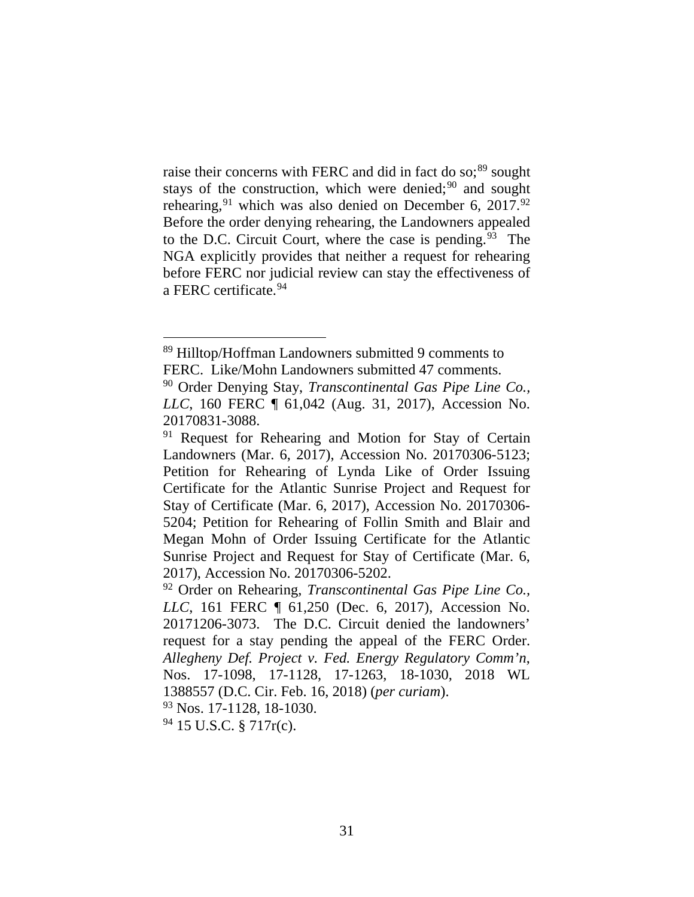raise their concerns with FERC and did in fact do so;<sup>89</sup> sought stays of the construction, which were denied;<sup>90</sup> and sought rehearing,  $91$  which was also denied on December 6, 2017.  $92$ Before the order denying rehearing, the Landowners appealed to the D.C. Circuit Court, where the case is pending.<sup>93</sup> The NGA explicitly provides that neither a request for rehearing before FERC nor judicial review can stay the effectiveness of a FERC certificate.<sup>94</sup>

 $94$  15 U.S.C. § 717r(c).

 <sup>89</sup> Hilltop/Hoffman Landowners submitted 9 comments to FERC. Like/Mohn Landowners submitted 47 comments.<br><sup>90</sup> Order Denying Stay, *Transcontinental Gas Pipe Line Co.*,

*LLC*, 160 FERC ¶ 61,042 (Aug. 31, 2017), Accession No. 20170831-3088.<br><sup>91</sup> Request for Rehearing and Motion for Stay of Certain

Landowners (Mar. 6, 2017), Accession No. 20170306-5123; Petition for Rehearing of Lynda Like of Order Issuing Certificate for the Atlantic Sunrise Project and Request for Stay of Certificate (Mar. 6, 2017), Accession No. 20170306- 5204; Petition for Rehearing of Follin Smith and Blair and Megan Mohn of Order Issuing Certificate for the Atlantic Sunrise Project and Request for Stay of Certificate (Mar. 6, 2017), Accession No. 20170306-5202.

<sup>92</sup> Order on Rehearing, *Transcontinental Gas Pipe Line Co., LLC*, 161 FERC ¶ 61,250 (Dec. 6, 2017), Accession No. 20171206-3073. The D.C. Circuit denied the landowners' request for a stay pending the appeal of the FERC Order. *Allegheny Def. Project v. Fed. Energy Regulatory Comm'n*, Nos. 17-1098, 17-1128, 17-1263, 18-1030, 2018 WL 1388557 (D.C. Cir. Feb. 16, 2018) (*per curiam*). <sup>93</sup> Nos. 17-1128, 18-1030.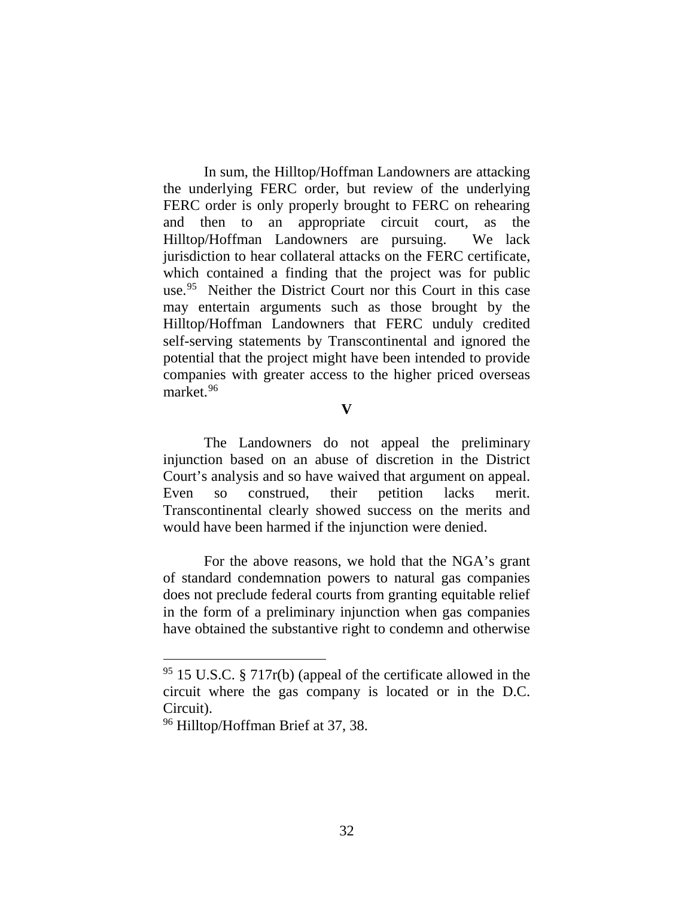In sum, the Hilltop/Hoffman Landowners are attacking the underlying FERC order, but review of the underlying FERC order is only properly brought to FERC on rehearing and then to an appropriate circuit court, as the Hilltop/Hoffman Landowners are pursuing. We lack jurisdiction to hear collateral attacks on the FERC certificate, which contained a finding that the project was for public use.<sup>95</sup> Neither the District Court nor this Court in this case may entertain arguments such as those brought by the Hilltop/Hoffman Landowners that FERC unduly credited self-serving statements by Transcontinental and ignored the potential that the project might have been intended to provide companies with greater access to the higher priced overseas market.96

**V**

The Landowners do not appeal the preliminary injunction based on an abuse of discretion in the District Court's analysis and so have waived that argument on appeal. Even so construed, their petition lacks merit. Transcontinental clearly showed success on the merits and would have been harmed if the injunction were denied.

For the above reasons, we hold that the NGA's grant of standard condemnation powers to natural gas companies does not preclude federal courts from granting equitable relief in the form of a preliminary injunction when gas companies have obtained the substantive right to condemn and otherwise

 $95$  15 U.S.C. § 717 $r(b)$  (appeal of the certificate allowed in the circuit where the gas company is located or in the D.C. Circuit).

<sup>96</sup> Hilltop/Hoffman Brief at 37, 38.